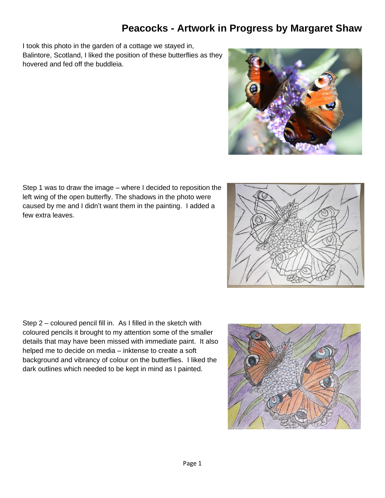I took this photo in the garden of a cottage we stayed in, Balintore, Scotland, I liked the position of these butterflies as they hovered and fed off the buddleia.





Step 1 was to draw the image – where I decided to reposition the left wing of the open butterfly. The shadows in the photo were caused by me and I didn't want them in the painting. I added a few extra leaves.

Step 2 – coloured pencil fill in. As I filled in the sketch with coloured pencils it brought to my attention some of the smaller details that may have been missed with immediate paint. It also helped me to decide on media – inktense to create a soft background and vibrancy of colour on the butterflies. I liked the dark outlines which needed to be kept in mind as I painted.

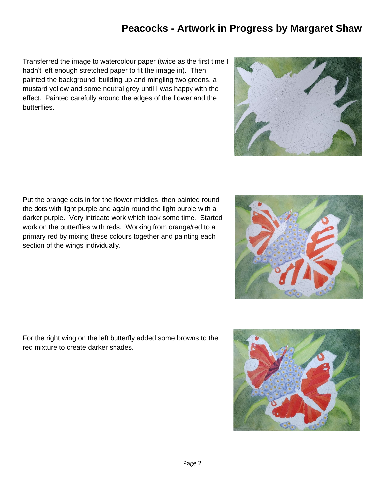Transferred the image to watercolour paper (twice as the first time I hadn't left enough stretched paper to fit the image in). Then painted the background, building up and mingling two greens, a mustard yellow and some neutral grey until I was happy with the effect. Painted carefully around the edges of the flower and the butterflies.

Put the orange dots in for the flower middles, then painted round the dots with light purple and again round the light purple with a darker purple. Very intricate work which took some time. Started work on the butterflies with reds. Working from orange/red to a primary red by mixing these colours together and painting each section of the wings individually.

For the right wing on the left butterfly added some browns to the red mixture to create darker shades.





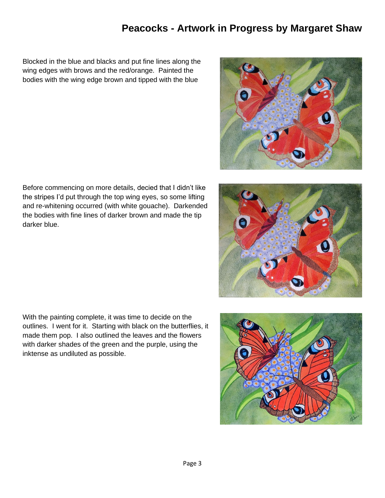Blocked in the blue and blacks and put fine lines along the wing edges with brows and the red/orange. Painted the bodies with the wing edge brown and tipped with the blue

Before commencing on more details, decied that I didn't like the stripes I'd put through the top wing eyes, so some lifting

the bodies with fine lines of darker brown and made the tip

darker blue.

and re-whitening occurred (with white gouache). Darkended

With the painting complete, it was time to decide on the outlines. I went for it. Starting with black on the butterflies, it made them pop. I also outlined the leaves and the flowers with darker shades of the green and the purple, using the inktense as undiluted as possible.